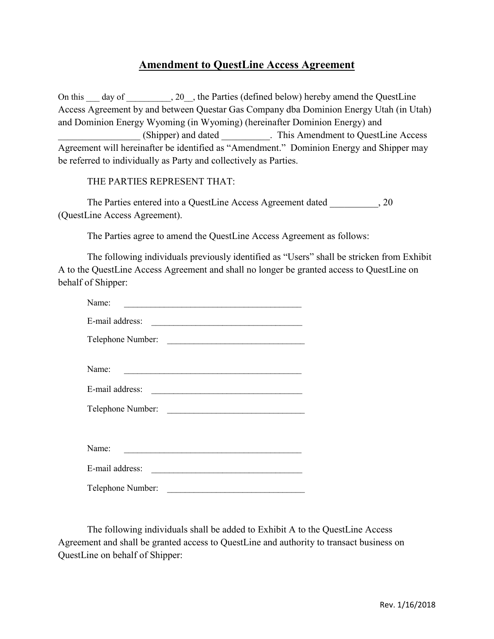## **Amendment to QuestLine Access Agreement**

On this day of \_\_\_\_\_\_\_, 20 \_, the Parties (defined below) hereby amend the QuestLine Access Agreement by and between Questar Gas Company dba Dominion Energy Utah (in Utah) and Dominion Energy Wyoming (in Wyoming) (hereinafter Dominion Energy) and \_\_\_\_\_\_\_\_\_\_\_\_\_\_\_\_\_ (Shipper) and dated \_\_\_\_\_\_\_\_\_\_. This Amendment to QuestLine Access Agreement will hereinafter be identified as "Amendment." Dominion Energy and Shipper may be referred to individually as Party and collectively as Parties.

## THE PARTIES REPRESENT THAT:

The Parties entered into a QuestLine Access Agreement dated  $, 20$ (QuestLine Access Agreement).

The Parties agree to amend the QuestLine Access Agreement as follows:

The following individuals previously identified as "Users" shall be stricken from Exhibit A to the QuestLine Access Agreement and shall no longer be granted access to QuestLine on behalf of Shipper:

| Name:                                                                                                                                                                                                                                            |
|--------------------------------------------------------------------------------------------------------------------------------------------------------------------------------------------------------------------------------------------------|
| E-mail address:                                                                                                                                                                                                                                  |
| Telephone Number:                                                                                                                                                                                                                                |
|                                                                                                                                                                                                                                                  |
| Name:                                                                                                                                                                                                                                            |
| E-mail address:<br>the control of the control of the control of the control of the control of the control of the control of the control of the control of the control of the control of the control of the control of the control of the control |
| Telephone Number:                                                                                                                                                                                                                                |
|                                                                                                                                                                                                                                                  |
| Name:                                                                                                                                                                                                                                            |
| E-mail address:<br>the contract of the contract of the contract of the contract of the contract of                                                                                                                                               |
| Telephone Number:<br><u> 1980 - Johann Barbara, martxa alemaniar a</u>                                                                                                                                                                           |

The following individuals shall be added to Exhibit A to the QuestLine Access Agreement and shall be granted access to QuestLine and authority to transact business on QuestLine on behalf of Shipper: